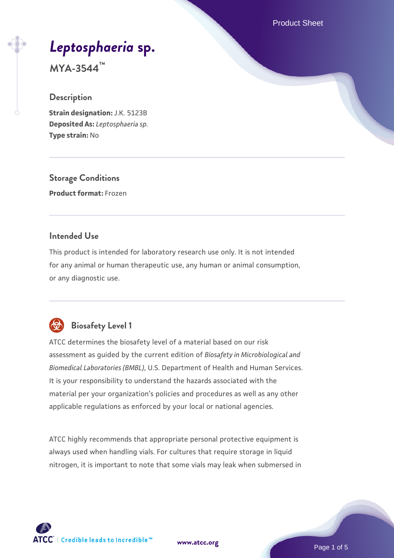Product Sheet

# *[Leptosphaeria](https://www.atcc.org/products/mya-3544)* **[sp.](https://www.atcc.org/products/mya-3544)**

**MYA-3544™**

#### **Description**

**Strain designation:** J.K. 5123B **Deposited As:** *Leptosphaeria sp.* **Type strain:** No

**Storage Conditions Product format:** Frozen

#### **Intended Use**

This product is intended for laboratory research use only. It is not intended for any animal or human therapeutic use, any human or animal consumption, or any diagnostic use.



# **Biosafety Level 1**

ATCC determines the biosafety level of a material based on our risk assessment as guided by the current edition of *Biosafety in Microbiological and Biomedical Laboratories (BMBL)*, U.S. Department of Health and Human Services. It is your responsibility to understand the hazards associated with the material per your organization's policies and procedures as well as any other applicable regulations as enforced by your local or national agencies.

ATCC highly recommends that appropriate personal protective equipment is always used when handling vials. For cultures that require storage in liquid nitrogen, it is important to note that some vials may leak when submersed in

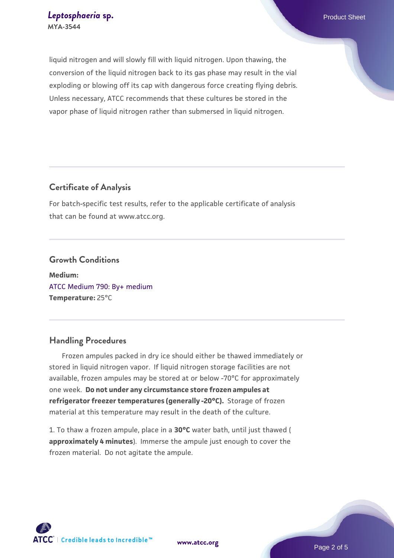liquid nitrogen and will slowly fill with liquid nitrogen. Upon thawing, the conversion of the liquid nitrogen back to its gas phase may result in the vial exploding or blowing off its cap with dangerous force creating flying debris. Unless necessary, ATCC recommends that these cultures be stored in the vapor phase of liquid nitrogen rather than submersed in liquid nitrogen.

#### **Certificate of Analysis**

For batch-specific test results, refer to the applicable certificate of analysis that can be found at www.atcc.org.

#### **Growth Conditions**

**Medium:**  [ATCC Medium 790: By+ medium](https://www.atcc.org/-/media/product-assets/documents/microbial-media-formulations/7/9/0/atcc-medium-790.pdf?rev=16bd8c73853840ee9a63d6a1f4589a74) **Temperature:** 25°C

#### **Handling Procedures**

 Frozen ampules packed in dry ice should either be thawed immediately or stored in liquid nitrogen vapor. If liquid nitrogen storage facilities are not available, frozen ampules may be stored at or below -70°C for approximately one week. **Do not under any circumstance store frozen ampules at refrigerator freezer temperatures (generally -20°C).** Storage of frozen material at this temperature may result in the death of the culture.

1. To thaw a frozen ampule, place in a **30°C** water bath, until just thawed ( **approximately 4 minutes**). Immerse the ampule just enough to cover the frozen material. Do not agitate the ampule.



**[www.atcc.org](http://www.atcc.org)**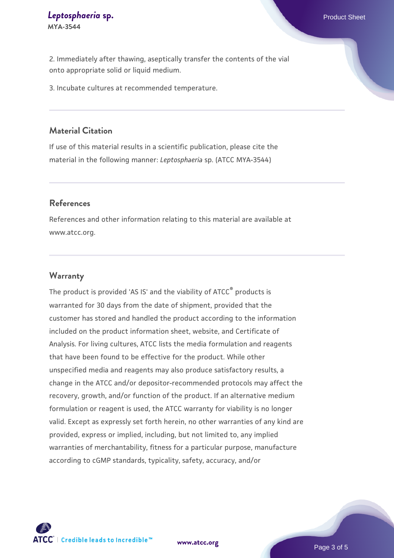2. Immediately after thawing, aseptically transfer the contents of the vial onto appropriate solid or liquid medium.

3. Incubate cultures at recommended temperature.

#### **Material Citation**

If use of this material results in a scientific publication, please cite the material in the following manner: *Leptosphaeria* sp. (ATCC MYA-3544)

#### **References**

References and other information relating to this material are available at www.atcc.org.

#### **Warranty**

The product is provided 'AS IS' and the viability of ATCC<sup>®</sup> products is warranted for 30 days from the date of shipment, provided that the customer has stored and handled the product according to the information included on the product information sheet, website, and Certificate of Analysis. For living cultures, ATCC lists the media formulation and reagents that have been found to be effective for the product. While other unspecified media and reagents may also produce satisfactory results, a change in the ATCC and/or depositor-recommended protocols may affect the recovery, growth, and/or function of the product. If an alternative medium formulation or reagent is used, the ATCC warranty for viability is no longer valid. Except as expressly set forth herein, no other warranties of any kind are provided, express or implied, including, but not limited to, any implied warranties of merchantability, fitness for a particular purpose, manufacture according to cGMP standards, typicality, safety, accuracy, and/or

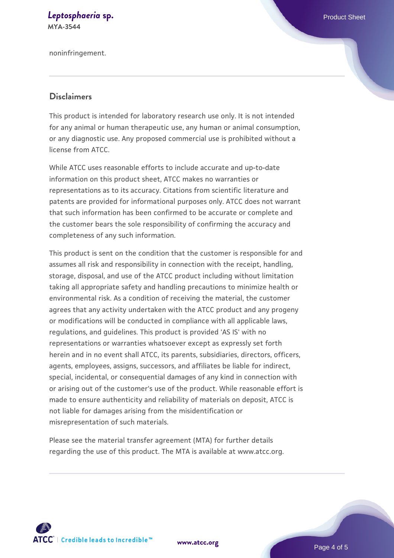#### *[Leptosphaeria](https://www.atcc.org/products/mya-3544)* **[sp.](https://www.atcc.org/products/mya-3544) Product Sheet MYA-3544**

noninfringement.

#### **Disclaimers**

This product is intended for laboratory research use only. It is not intended for any animal or human therapeutic use, any human or animal consumption, or any diagnostic use. Any proposed commercial use is prohibited without a license from ATCC.

While ATCC uses reasonable efforts to include accurate and up-to-date information on this product sheet, ATCC makes no warranties or representations as to its accuracy. Citations from scientific literature and patents are provided for informational purposes only. ATCC does not warrant that such information has been confirmed to be accurate or complete and the customer bears the sole responsibility of confirming the accuracy and completeness of any such information.

This product is sent on the condition that the customer is responsible for and assumes all risk and responsibility in connection with the receipt, handling, storage, disposal, and use of the ATCC product including without limitation taking all appropriate safety and handling precautions to minimize health or environmental risk. As a condition of receiving the material, the customer agrees that any activity undertaken with the ATCC product and any progeny or modifications will be conducted in compliance with all applicable laws, regulations, and guidelines. This product is provided 'AS IS' with no representations or warranties whatsoever except as expressly set forth herein and in no event shall ATCC, its parents, subsidiaries, directors, officers, agents, employees, assigns, successors, and affiliates be liable for indirect, special, incidental, or consequential damages of any kind in connection with or arising out of the customer's use of the product. While reasonable effort is made to ensure authenticity and reliability of materials on deposit, ATCC is not liable for damages arising from the misidentification or misrepresentation of such materials.

Please see the material transfer agreement (MTA) for further details regarding the use of this product. The MTA is available at www.atcc.org.



**[www.atcc.org](http://www.atcc.org)**

Page 4 of 5